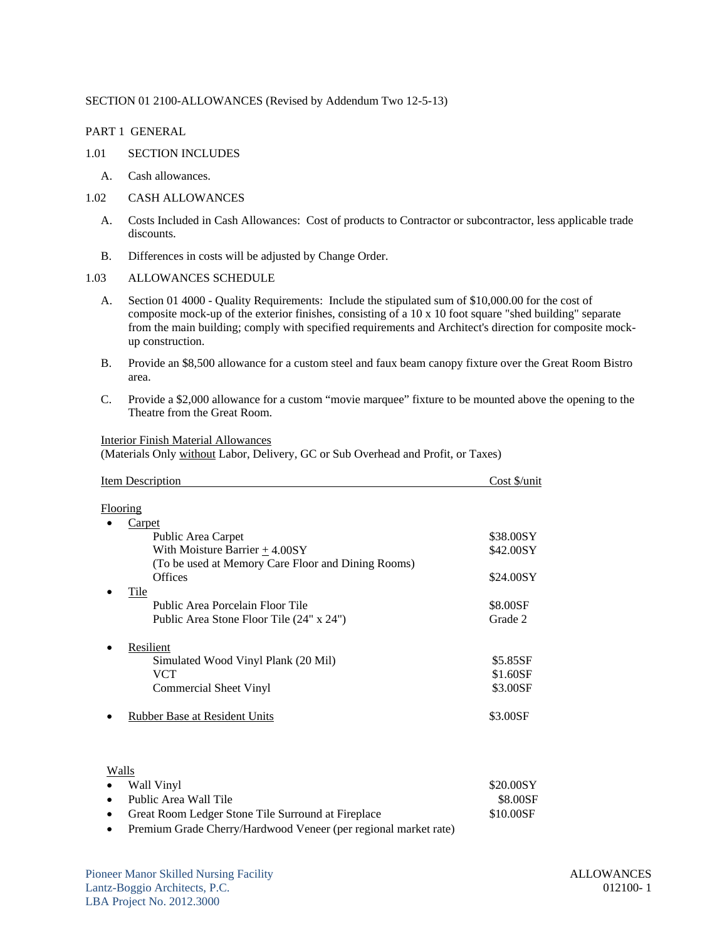### SECTION 01 2100-ALLOWANCES (Revised by Addendum Two 12-5-13)

PART 1 GENERAL

- 1.01 SECTION INCLUDES
	- A. Cash allowances.
- 1.02 CASH ALLOWANCES
	- A. Costs Included in Cash Allowances: Cost of products to Contractor or subcontractor, less applicable trade discounts.
	- B. Differences in costs will be adjusted by Change Order.

### 1.03 ALLOWANCES SCHEDULE

- A. Section 01 4000 Quality Requirements: Include the stipulated sum of \$10,000.00 for the cost of composite mock-up of the exterior finishes, consisting of a 10 x 10 foot square "shed building" separate from the main building; comply with specified requirements and Architect's direction for composite mockup construction.
- B. Provide an \$8,500 allowance for a custom steel and faux beam canopy fixture over the Great Room Bistro area.
- C. Provide a \$2,000 allowance for a custom "movie marquee" fixture to be mounted above the opening to the Theatre from the Great Room.

## Interior Finish Material Allowances

(Materials Only without Labor, Delivery, GC or Sub Overhead and Profit, or Taxes)

| \$38.00SY<br>\$42.00SY<br>\$24.00SY |
|-------------------------------------|
|                                     |
|                                     |
|                                     |
|                                     |
|                                     |
|                                     |
|                                     |
| \$8.00SF                            |
| Grade 2                             |
|                                     |
| \$5.85SF                            |
| \$1.60SF                            |
| \$3.00SF                            |
| \$3.00SF                            |
|                                     |
|                                     |

| 11.41 |                                                      |           |
|-------|------------------------------------------------------|-----------|
|       | • Wall Vinyl                                         | \$20.00SY |
|       | • Public Area Wall Tile                              | \$8.00SF  |
|       | • Great Room Ledger Stone Tile Surround at Fireplace | \$10.00SF |
|       |                                                      |           |

• Premium Grade Cherry/Hardwood Veneer (per regional market rate)